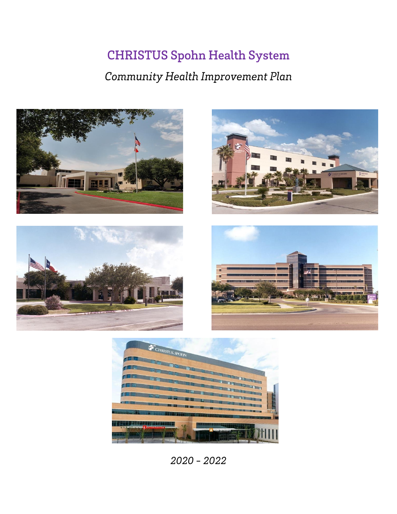# **CHRISTUS Spohn Health System**

## Community Health Improvement Plan











 $2020 - 2022$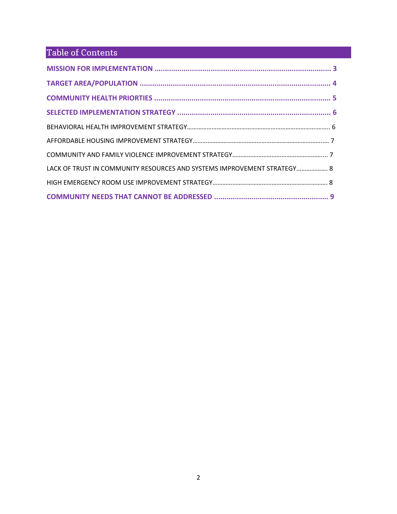## Table of Contents

| LACK OF TRUST IN COMMUNITY RESOURCES AND SYSTEMS IMPROVEMENT STRATEGY 8 |  |
|-------------------------------------------------------------------------|--|
|                                                                         |  |
|                                                                         |  |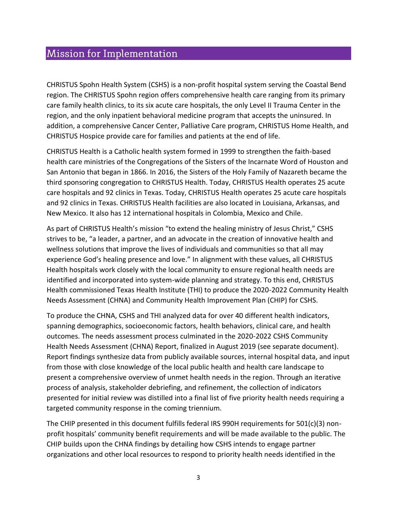## Mission for Implementation

CHRISTUS Spohn Health System (CSHS) is a non-profit hospital system serving the Coastal Bend region. The CHRISTUS Spohn region offers comprehensive health care ranging from its primary care family health clinics, to its six acute care hospitals, the only Level II Trauma Center in the region, and the only inpatient behavioral medicine program that accepts the uninsured. In addition, a comprehensive Cancer Center, Palliative Care program, CHRISTUS Home Health, and CHRISTUS Hospice provide care for families and patients at the end of life.

CHRISTUS Health is a Catholic health system formed in 1999 to strengthen the faith-based health care ministries of the Congregations of the Sisters of the Incarnate Word of Houston and San Antonio that began in 1866. In 2016, the Sisters of the Holy Family of Nazareth became the third sponsoring congregation to CHRISTUS Health. Today, CHRISTUS Health operates 25 acute care hospitals and 92 clinics in Texas. Today, CHRISTUS Health operates 25 acute care hospitals and 92 clinics in Texas. CHRISTUS Health facilities are also located in Louisiana, Arkansas, and New Mexico. It also has 12 international hospitals in Colombia, Mexico and Chile.

As part of CHRISTUS Health's mission "to extend the healing ministry of Jesus Christ," CSHS strives to be, "a leader, a partner, and an advocate in the creation of innovative health and wellness solutions that improve the lives of individuals and communities so that all may experience God's healing presence and love." In alignment with these values, all CHRISTUS Health hospitals work closely with the local community to ensure regional health needs are identified and incorporated into system-wide planning and strategy. To this end, CHRISTUS Health commissioned Texas Health Institute (THI) to produce the 2020-2022 Community Health Needs Assessment (CHNA) and Community Health Improvement Plan (CHIP) for CSHS.

To produce the CHNA, CSHS and THI analyzed data for over 40 different health indicators, spanning demographics, socioeconomic factors, health behaviors, clinical care, and health outcomes. The needs assessment process culminated in the 2020-2022 CSHS Community Health Needs Assessment (CHNA) Report, finalized in August 2019 (see separate document). Report findings synthesize data from publicly available sources, internal hospital data, and input from those with close knowledge of the local public health and health care landscape to present a comprehensive overview of unmet health needs in the region. Through an iterative process of analysis, stakeholder debriefing, and refinement, the collection of indicators presented for initial review was distilled into a final list of five priority health needs requiring a targeted community response in the coming triennium.

The CHIP presented in this document fulfills federal IRS 990H requirements for  $501(c)(3)$  nonprofit hospitals' community benefit requirements and will be made available to the public. The CHIP builds upon the CHNA findings by detailing how CSHS intends to engage partner organizations and other local resources to respond to priority health needs identified in the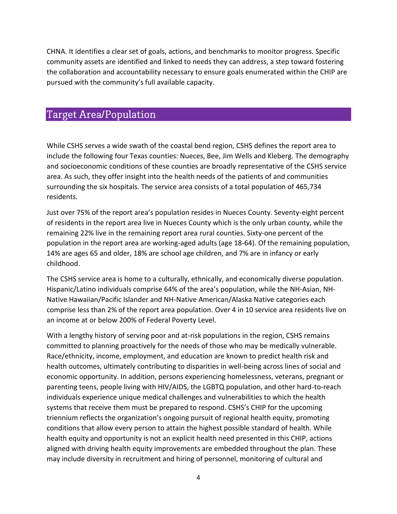CHNA. It identifies a clear set of goals, actions, and benchmarks to monitor progress. Specific community assets are identified and linked to needs they can address, a step toward fostering the collaboration and accountability necessary to ensure goals enumerated within the CHIP are pursued with the community's full available capacity.

### **Target Area/Population**

While CSHS serves a wide swath of the coastal bend region, CSHS defines the report area to include the following four Texas counties: Nueces, Bee, Jim Wells and Kleberg. The demography and socioeconomic conditions of these counties are broadly representative of the CSHS service area. As such, they offer insight into the health needs of the patients of and communities surrounding the six hospitals. The service area consists of a total population of 465,734 residents.

Just over 75% of the report area's population resides in Nueces County. Seventy-eight percent of residents in the report area live in Nueces County which is the only urban county, while the remaining 22% live in the remaining report area rural counties. Sixty-one percent of the population in the report area are working-aged adults (age 18-64). Of the remaining population, 14% are ages 65 and older, 18% are school age children, and 7% are in infancy or early childhood.

The CSHS service area is home to a culturally, ethnically, and economically diverse population. Hispanic/Latino individuals comprise 64% of the area's population, while the NH-Asian, NH-Native Hawaiian/Pacific Islander and NH-Native American/Alaska Native categories each comprise less than 2% of the report area population. Over 4 in 10 service area residents live on an income at or below 200% of Federal Poverty Level.

With a lengthy history of serving poor and at-risk populations in the region, CSHS remains committed to planning proactively for the needs of those who may be medically vulnerable. Race/ethnicity, income, employment, and education are known to predict health risk and health outcomes, ultimately contributing to disparities in well-being across lines of social and economic opportunity. In addition, persons experiencing homelessness, veterans, pregnant or parenting teens, people living with HIV/AIDS, the LGBTQ population, and other hard-to-reach individuals experience unique medical challenges and vulnerabilities to which the health systems that receive them must be prepared to respond. CSHS's CHIP for the upcoming triennium reflects the organization's ongoing pursuit of regional health equity, promoting conditions that allow every person to attain the highest possible standard of health. While health equity and opportunity is not an explicit health need presented in this CHIP, actions aligned with driving health equity improvements are embedded throughout the plan. These may include diversity in recruitment and hiring of personnel, monitoring of cultural and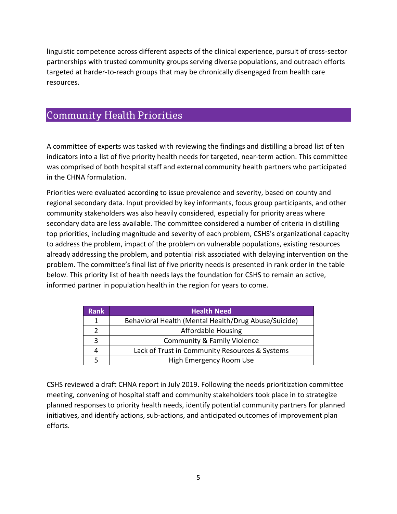linguistic competence across different aspects of the clinical experience, pursuit of cross-sector partnerships with trusted community groups serving diverse populations, and outreach efforts targeted at harder-to-reach groups that may be chronically disengaged from health care resources.

### **Community Health Priorities**

A committee of experts was tasked with reviewing the findings and distilling a broad list of ten indicators into a list of five priority health needs for targeted, near-term action. This committee was comprised of both hospital staff and external community health partners who participated in the CHNA formulation.

Priorities were evaluated according to issue prevalence and severity, based on county and regional secondary data. Input provided by key informants, focus group participants, and other community stakeholders was also heavily considered, especially for priority areas where secondary data are less available. The committee considered a number of criteria in distilling top priorities, including magnitude and severity of each problem, CSHS's organizational capacity to address the problem, impact of the problem on vulnerable populations, existing resources already addressing the problem, and potential risk associated with delaying intervention on the problem. The committee's final list of five priority needs is presented in rank order in the table below. This priority list of health needs lays the foundation for CSHS to remain an active, informed partner in population health in the region for years to come.

| <b>Rank</b> | <b>Health Need</b>                                   |
|-------------|------------------------------------------------------|
| 1           | Behavioral Health (Mental Health/Drug Abuse/Suicide) |
|             | <b>Affordable Housing</b>                            |
| 3           | <b>Community &amp; Family Violence</b>               |
| 4           | Lack of Trust in Community Resources & Systems       |
|             | High Emergency Room Use                              |

CSHS reviewed a draft CHNA report in July 2019. Following the needs prioritization committee meeting, convening of hospital staff and community stakeholders took place in to strategize planned responses to priority health needs, identify potential community partners for planned initiatives, and identify actions, sub-actions, and anticipated outcomes of improvement plan efforts.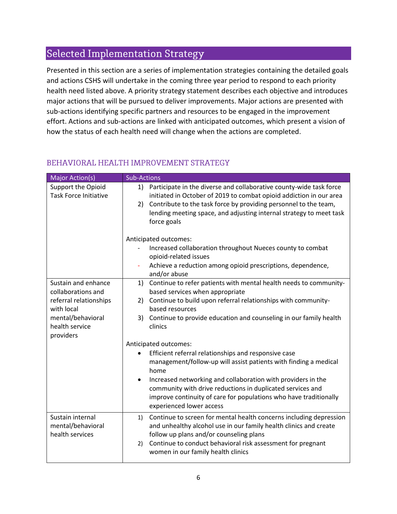## Selected Implementation Strategy

Presented in this section are a series of implementation strategies containing the detailed goals and actions CSHS will undertake in the coming three year period to respond to each priority health need listed above. A priority strategy statement describes each objective and introduces major actions that will be pursued to deliver improvements. Major actions are presented with sub-actions identifying specific partners and resources to be engaged in the improvement effort. Actions and sub-actions are linked with anticipated outcomes, which present a vision of how the status of each health need will change when the actions are completed.

#### BEHAVIORAL HEALTH IMPROVEMENT STRATEGY

| <b>Major Action(s)</b>                                   | <b>Sub-Actions</b>                                                                                                                                                                                                                                                                                            |
|----------------------------------------------------------|---------------------------------------------------------------------------------------------------------------------------------------------------------------------------------------------------------------------------------------------------------------------------------------------------------------|
| Support the Opioid<br><b>Task Force Initiative</b>       | 1) Participate in the diverse and collaborative county-wide task force<br>initiated in October of 2019 to combat opioid addiction in our area<br>Contribute to the task force by providing personnel to the team,<br>2)<br>lending meeting space, and adjusting internal strategy to meet task<br>force goals |
|                                                          | Anticipated outcomes:                                                                                                                                                                                                                                                                                         |
|                                                          | Increased collaboration throughout Nueces county to combat<br>opioid-related issues                                                                                                                                                                                                                           |
|                                                          | Achieve a reduction among opioid prescriptions, dependence,<br>and/or abuse                                                                                                                                                                                                                                   |
| Sustain and enhance<br>collaborations and                | 1) Continue to refer patients with mental health needs to community-<br>based services when appropriate                                                                                                                                                                                                       |
| referral relationships<br>with local                     | Continue to build upon referral relationships with community-<br>2)<br>based resources                                                                                                                                                                                                                        |
| mental/behavioral<br>health service                      | 3) Continue to provide education and counseling in our family health<br>clinics                                                                                                                                                                                                                               |
| providers                                                | Anticipated outcomes:                                                                                                                                                                                                                                                                                         |
|                                                          | Efficient referral relationships and responsive case                                                                                                                                                                                                                                                          |
|                                                          | management/follow-up will assist patients with finding a medical<br>home                                                                                                                                                                                                                                      |
|                                                          | Increased networking and collaboration with providers in the<br>$\bullet$<br>community with drive reductions in duplicated services and<br>improve continuity of care for populations who have traditionally<br>experienced lower access                                                                      |
| Sustain internal<br>mental/behavioral<br>health services | Continue to screen for mental health concerns including depression<br>1)<br>and unhealthy alcohol use in our family health clinics and create<br>follow up plans and/or counseling plans                                                                                                                      |
|                                                          | Continue to conduct behavioral risk assessment for pregnant<br>2)<br>women in our family health clinics                                                                                                                                                                                                       |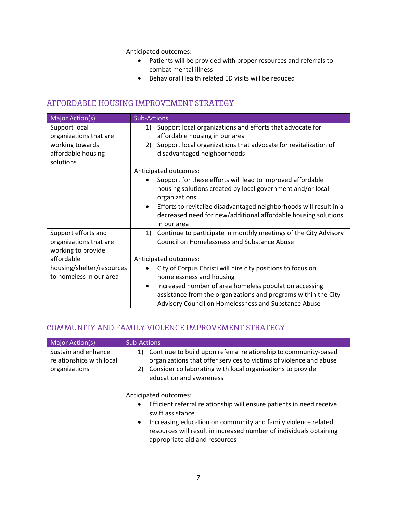| Anticipated outcomes:                                            |
|------------------------------------------------------------------|
| Patients will be provided with proper resources and referrals to |
| combat mental illness                                            |
| Behavioral Health related ED visits will be reduced              |

#### AFFORDABLE HOUSING IMPROVEMENT STRATEGY

| <b>Major Action(s)</b>                                              | <b>Sub-Actions</b>                                                                                                                                               |
|---------------------------------------------------------------------|------------------------------------------------------------------------------------------------------------------------------------------------------------------|
| Support local<br>organizations that are                             | Support local organizations and efforts that advocate for<br>1)<br>affordable housing in our area                                                                |
| working towards<br>affordable housing<br>solutions                  | Support local organizations that advocate for revitalization of<br>2)<br>disadvantaged neighborhoods                                                             |
|                                                                     | Anticipated outcomes:                                                                                                                                            |
|                                                                     | Support for these efforts will lead to improved affordable<br>housing solutions created by local government and/or local<br>organizations                        |
|                                                                     | Efforts to revitalize disadvantaged neighborhoods will result in a<br>$\bullet$<br>decreased need for new/additional affordable housing solutions<br>in our area |
| Support efforts and<br>organizations that are<br>working to provide | Continue to participate in monthly meetings of the City Advisory<br>1)<br><b>Council on Homelessness and Substance Abuse</b>                                     |
| affordable                                                          | Anticipated outcomes:                                                                                                                                            |
| housing/shelter/resources<br>to homeless in our area                | City of Corpus Christi will hire city positions to focus on<br>homelessness and housing                                                                          |
|                                                                     | Increased number of area homeless population accessing<br>$\bullet$                                                                                              |
|                                                                     | assistance from the organizations and programs within the City                                                                                                   |
|                                                                     | Advisory Council on Homelessness and Substance Abuse                                                                                                             |

#### COMMUNITY AND FAMILY VIOLENCE IMPROVEMENT STRATEGY

| Major Action(s)                                                  | <b>Sub-Actions</b>                                                                                                                                                                                                                                                                                                  |
|------------------------------------------------------------------|---------------------------------------------------------------------------------------------------------------------------------------------------------------------------------------------------------------------------------------------------------------------------------------------------------------------|
| Sustain and enhance<br>relationships with local<br>organizations | Continue to build upon referral relationship to community-based<br>1)<br>organizations that offer services to victims of violence and abuse<br>2) Consider collaborating with local organizations to provide<br>education and awareness                                                                             |
|                                                                  | Anticipated outcomes:<br>Efficient referral relationship will ensure patients in need receive<br>$\bullet$<br>swift assistance<br>Increasing education on community and family violence related<br>$\bullet$<br>resources will result in increased number of individuals obtaining<br>appropriate aid and resources |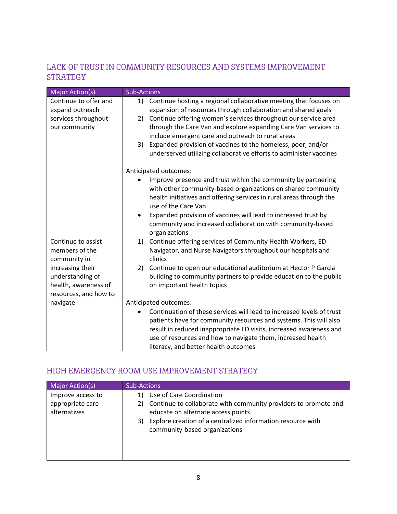#### LACK OF TRUST IN COMMUNITY RESOURCES AND SYSTEMS IMPROVEMENT **STRATEGY**

| <b>Major Action(s)</b>                                                                                                                        | <b>Sub-Actions</b>                                                                                                                                                                                                                                                                                                                                                                                             |
|-----------------------------------------------------------------------------------------------------------------------------------------------|----------------------------------------------------------------------------------------------------------------------------------------------------------------------------------------------------------------------------------------------------------------------------------------------------------------------------------------------------------------------------------------------------------------|
| Continue to offer and<br>expand outreach<br>services throughout<br>our community                                                              | Continue hosting a regional collaborative meeting that focuses on<br>1)<br>expansion of resources through collaboration and shared goals<br>Continue offering women's services throughout our service area<br>2)<br>through the Care Van and explore expanding Care Van services to<br>include emergent care and outreach to rural areas<br>Expanded provision of vaccines to the homeless, poor, and/or<br>3) |
|                                                                                                                                               | underserved utilizing collaborative efforts to administer vaccines<br>Anticipated outcomes:<br>Improve presence and trust within the community by partnering<br>with other community-based organizations on shared community<br>health initiatives and offering services in rural areas through the<br>use of the Care Van                                                                                     |
|                                                                                                                                               | Expanded provision of vaccines will lead to increased trust by<br>$\bullet$<br>community and increased collaboration with community-based<br>organizations                                                                                                                                                                                                                                                     |
| Continue to assist<br>members of the<br>community in<br>increasing their<br>understanding of<br>health, awareness of<br>resources, and how to | Continue offering services of Community Health Workers, ED<br>1)<br>Navigator, and Nurse Navigators throughout our hospitals and<br>clinics<br>Continue to open our educational auditorium at Hector P Garcia<br>2)<br>building to community partners to provide education to the public<br>on important health topics                                                                                         |
| navigate                                                                                                                                      | Anticipated outcomes:<br>Continuation of these services will lead to increased levels of trust<br>patients have for community resources and systems. This will also<br>result in reduced inappropriate ED visits, increased awareness and<br>use of resources and how to navigate them, increased health<br>literacy, and better health outcomes                                                               |

#### HIGH EMERGENCY ROOM USE IMPROVEMENT STRATEGY

| <b>Major Action(s)</b>                                | <b>Sub-Actions</b>                                                                                                                                                                                                                            |
|-------------------------------------------------------|-----------------------------------------------------------------------------------------------------------------------------------------------------------------------------------------------------------------------------------------------|
| Improve access to<br>appropriate care<br>alternatives | Use of Care Coordination<br>Continue to collaborate with community providers to promote and<br>2)<br>educate on alternate access points<br>Explore creation of a centralized information resource with<br>3)<br>community-based organizations |
|                                                       |                                                                                                                                                                                                                                               |